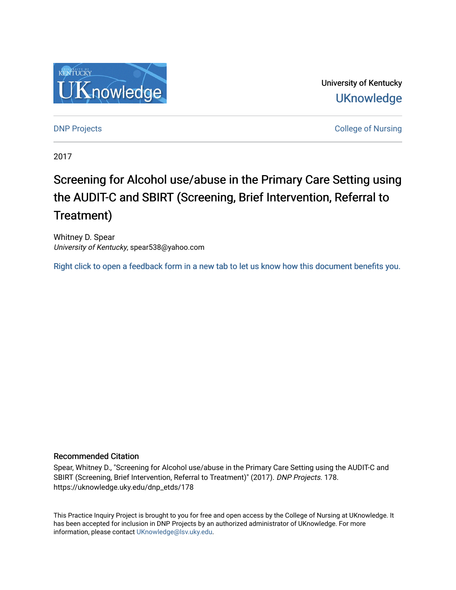

University of Kentucky **UKnowledge** 

**DNP Projects** College of Nursing

2017

# Screening for Alcohol use/abuse in the Primary Care Setting using the AUDIT-C and SBIRT (Screening, Brief Intervention, Referral to Treatment)

Whitney D. Spear University of Kentucky, spear538@yahoo.com

[Right click to open a feedback form in a new tab to let us know how this document benefits you.](https://uky.az1.qualtrics.com/jfe/form/SV_9mq8fx2GnONRfz7)

# Recommended Citation

Spear, Whitney D., "Screening for Alcohol use/abuse in the Primary Care Setting using the AUDIT-C and SBIRT (Screening, Brief Intervention, Referral to Treatment)" (2017). DNP Projects. 178. https://uknowledge.uky.edu/dnp\_etds/178

This Practice Inquiry Project is brought to you for free and open access by the College of Nursing at UKnowledge. It has been accepted for inclusion in DNP Projects by an authorized administrator of UKnowledge. For more information, please contact [UKnowledge@lsv.uky.edu](mailto:UKnowledge@lsv.uky.edu).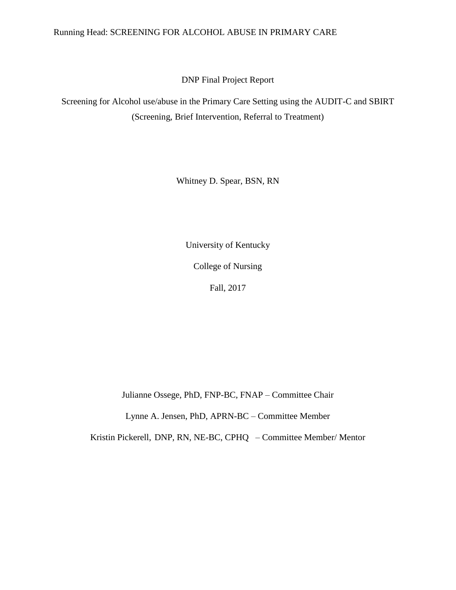# Running Head: SCREENING FOR ALCOHOL ABUSE IN PRIMARY CARE

DNP Final Project Report

Screening for Alcohol use/abuse in the Primary Care Setting using the AUDIT-C and SBIRT (Screening, Brief Intervention, Referral to Treatment)

Whitney D. Spear, BSN, RN

University of Kentucky

College of Nursing

Fall, 2017

Julianne Ossege, PhD, FNP-BC, FNAP – Committee Chair

Lynne A. Jensen, PhD, APRN-BC – Committee Member

Kristin Pickerell, DNP, RN, NE-BC, CPHQ – Committee Member/ Mentor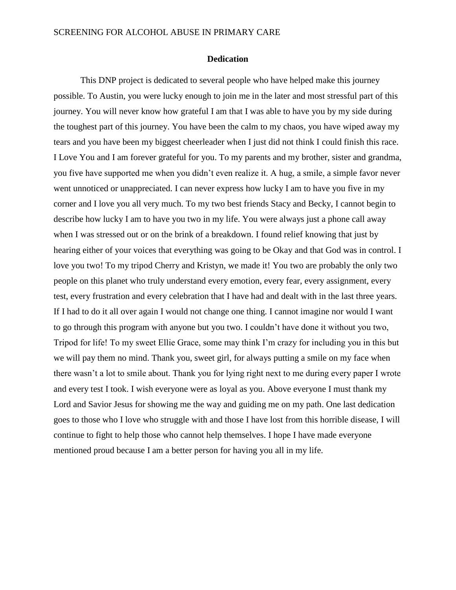#### **Dedication**

This DNP project is dedicated to several people who have helped make this journey possible. To Austin, you were lucky enough to join me in the later and most stressful part of this journey. You will never know how grateful I am that I was able to have you by my side during the toughest part of this journey. You have been the calm to my chaos, you have wiped away my tears and you have been my biggest cheerleader when I just did not think I could finish this race. I Love You and I am forever grateful for you. To my parents and my brother, sister and grandma, you five have supported me when you didn't even realize it. A hug, a smile, a simple favor never went unnoticed or unappreciated. I can never express how lucky I am to have you five in my corner and I love you all very much. To my two best friends Stacy and Becky, I cannot begin to describe how lucky I am to have you two in my life. You were always just a phone call away when I was stressed out or on the brink of a breakdown. I found relief knowing that just by hearing either of your voices that everything was going to be Okay and that God was in control. I love you two! To my tripod Cherry and Kristyn, we made it! You two are probably the only two people on this planet who truly understand every emotion, every fear, every assignment, every test, every frustration and every celebration that I have had and dealt with in the last three years. If I had to do it all over again I would not change one thing. I cannot imagine nor would I want to go through this program with anyone but you two. I couldn't have done it without you two, Tripod for life! To my sweet Ellie Grace, some may think I'm crazy for including you in this but we will pay them no mind. Thank you, sweet girl, for always putting a smile on my face when there wasn't a lot to smile about. Thank you for lying right next to me during every paper I wrote and every test I took. I wish everyone were as loyal as you. Above everyone I must thank my Lord and Savior Jesus for showing me the way and guiding me on my path. One last dedication goes to those who I love who struggle with and those I have lost from this horrible disease, I will continue to fight to help those who cannot help themselves. I hope I have made everyone mentioned proud because I am a better person for having you all in my life.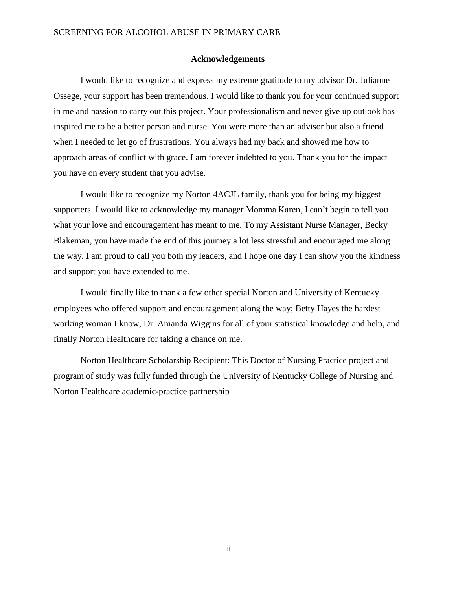#### **Acknowledgements**

I would like to recognize and express my extreme gratitude to my advisor Dr. Julianne Ossege, your support has been tremendous. I would like to thank you for your continued support in me and passion to carry out this project. Your professionalism and never give up outlook has inspired me to be a better person and nurse. You were more than an advisor but also a friend when I needed to let go of frustrations. You always had my back and showed me how to approach areas of conflict with grace. I am forever indebted to you. Thank you for the impact you have on every student that you advise.

I would like to recognize my Norton 4ACJL family, thank you for being my biggest supporters. I would like to acknowledge my manager Momma Karen, I can't begin to tell you what your love and encouragement has meant to me. To my Assistant Nurse Manager, Becky Blakeman, you have made the end of this journey a lot less stressful and encouraged me along the way. I am proud to call you both my leaders, and I hope one day I can show you the kindness and support you have extended to me.

I would finally like to thank a few other special Norton and University of Kentucky employees who offered support and encouragement along the way; Betty Hayes the hardest working woman I know, Dr. Amanda Wiggins for all of your statistical knowledge and help, and finally Norton Healthcare for taking a chance on me.

Norton Healthcare Scholarship Recipient: This Doctor of Nursing Practice project and program of study was fully funded through the University of Kentucky College of Nursing and Norton Healthcare academic-practice partnership

iii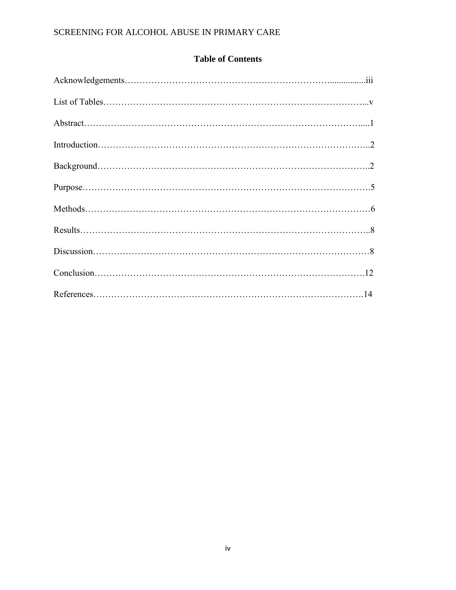# **Table of Contents**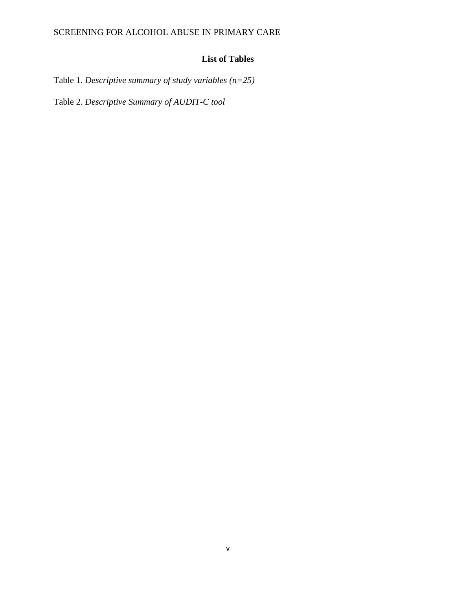# **List of Tables**

Table 1. *Descriptive summary of study variables (n=25)*

Table 2. *Descriptive Summary of AUDIT-C tool*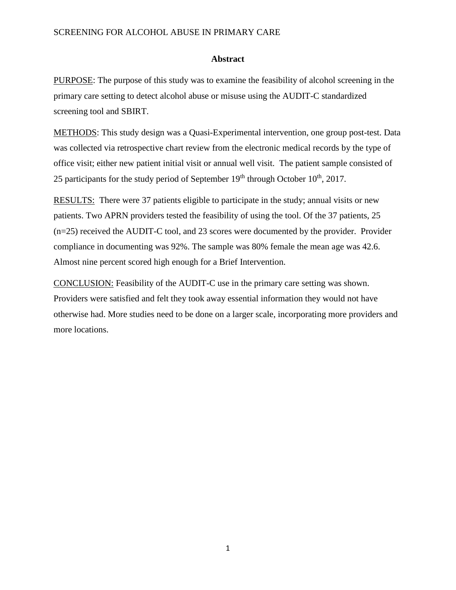# **Abstract**

PURPOSE: The purpose of this study was to examine the feasibility of alcohol screening in the primary care setting to detect alcohol abuse or misuse using the AUDIT-C standardized screening tool and SBIRT.

METHODS: This study design was a Quasi-Experimental intervention, one group post-test. Data was collected via retrospective chart review from the electronic medical records by the type of office visit; either new patient initial visit or annual well visit. The patient sample consisted of 25 participants for the study period of September  $19<sup>th</sup>$  through October  $10<sup>th</sup>$ , 2017.

RESULTS: There were 37 patients eligible to participate in the study; annual visits or new patients. Two APRN providers tested the feasibility of using the tool. Of the 37 patients, 25 (n=25) received the AUDIT-C tool, and 23 scores were documented by the provider. Provider compliance in documenting was 92%. The sample was 80% female the mean age was 42.6. Almost nine percent scored high enough for a Brief Intervention.

CONCLUSION: Feasibility of the AUDIT-C use in the primary care setting was shown. Providers were satisfied and felt they took away essential information they would not have otherwise had. More studies need to be done on a larger scale, incorporating more providers and more locations.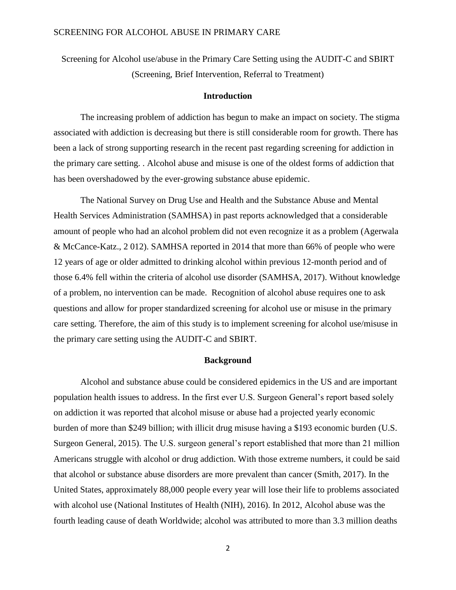Screening for Alcohol use/abuse in the Primary Care Setting using the AUDIT-C and SBIRT (Screening, Brief Intervention, Referral to Treatment)

### **Introduction**

The increasing problem of addiction has begun to make an impact on society. The stigma associated with addiction is decreasing but there is still considerable room for growth. There has been a lack of strong supporting research in the recent past regarding screening for addiction in the primary care setting. . Alcohol abuse and misuse is one of the oldest forms of addiction that has been overshadowed by the ever-growing substance abuse epidemic.

The National Survey on Drug Use and Health and the Substance Abuse and Mental Health Services Administration (SAMHSA) in past reports acknowledged that a considerable amount of people who had an alcohol problem did not even recognize it as a problem (Agerwala & McCance-Katz., 2 012). SAMHSA reported in 2014 that more than 66% of people who were 12 years of age or older admitted to drinking alcohol within previous 12-month period and of those 6.4% fell within the criteria of alcohol use disorder (SAMHSA, 2017). Without knowledge of a problem, no intervention can be made. Recognition of alcohol abuse requires one to ask questions and allow for proper standardized screening for alcohol use or misuse in the primary care setting. Therefore, the aim of this study is to implement screening for alcohol use/misuse in the primary care setting using the AUDIT-C and SBIRT.

#### **Background**

Alcohol and substance abuse could be considered epidemics in the US and are important population health issues to address. In the first ever U.S. Surgeon General's report based solely on addiction it was reported that alcohol misuse or abuse had a projected yearly economic burden of more than \$249 billion; with illicit drug misuse having a \$193 economic burden (U.S. Surgeon General, 2015). The U.S. surgeon general's report established that more than 21 million Americans struggle with alcohol or drug addiction. With those extreme numbers, it could be said that alcohol or substance abuse disorders are more prevalent than cancer (Smith, 2017). In the United States, approximately 88,000 people every year will lose their life to problems associated with alcohol use (National Institutes of Health (NIH), 2016). In 2012, Alcohol abuse was the fourth leading cause of death Worldwide; alcohol was attributed to more than 3.3 million deaths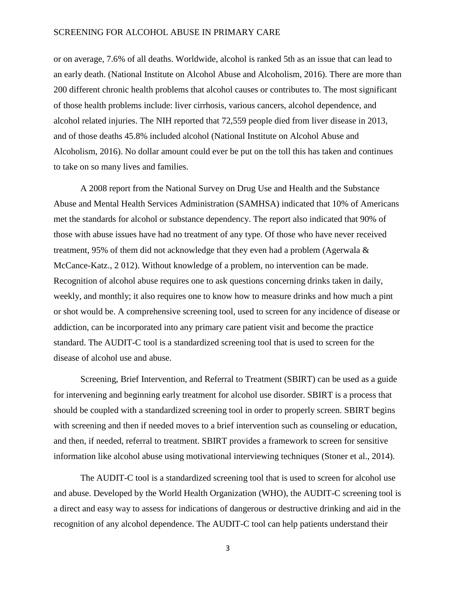or on average, 7.6% of all deaths. Worldwide, alcohol is ranked 5th as an issue that can lead to an early death. (National Institute on Alcohol Abuse and Alcoholism, 2016). There are more than 200 different chronic health problems that alcohol causes or contributes to. The most significant of those health problems include: liver cirrhosis, various cancers, alcohol dependence, and alcohol related injuries. The NIH reported that 72,559 people died from liver disease in 2013, and of those deaths 45.8% included alcohol (National Institute on Alcohol Abuse and Alcoholism, 2016). No dollar amount could ever be put on the toll this has taken and continues to take on so many lives and families.

A 2008 report from the National Survey on Drug Use and Health and the Substance Abuse and Mental Health Services Administration (SAMHSA) indicated that 10% of Americans met the standards for alcohol or substance dependency. The report also indicated that 90% of those with abuse issues have had no treatment of any type. Of those who have never received treatment, 95% of them did not acknowledge that they even had a problem (Agerwala & McCance-Katz., 2 012). Without knowledge of a problem, no intervention can be made. Recognition of alcohol abuse requires one to ask questions concerning drinks taken in daily, weekly, and monthly; it also requires one to know how to measure drinks and how much a pint or shot would be. A comprehensive screening tool, used to screen for any incidence of disease or addiction, can be incorporated into any primary care patient visit and become the practice standard. The AUDIT-C tool is a standardized screening tool that is used to screen for the disease of alcohol use and abuse.

Screening, Brief Intervention, and Referral to Treatment (SBIRT) can be used as a guide for intervening and beginning early treatment for alcohol use disorder. SBIRT is a process that should be coupled with a standardized screening tool in order to properly screen. SBIRT begins with screening and then if needed moves to a brief intervention such as counseling or education, and then, if needed, referral to treatment. SBIRT provides a framework to screen for sensitive information like alcohol abuse using motivational interviewing techniques (Stoner et al., 2014).

The AUDIT-C tool is a standardized screening tool that is used to screen for alcohol use and abuse. Developed by the World Health Organization (WHO), the AUDIT-C screening tool is a direct and easy way to assess for indications of dangerous or destructive drinking and aid in the recognition of any alcohol dependence. The AUDIT-C tool can help patients understand their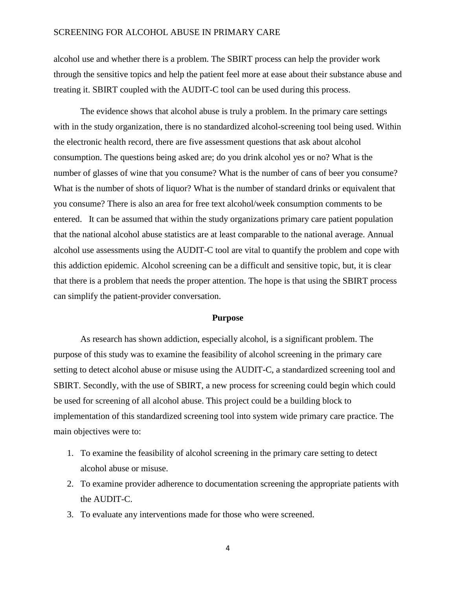alcohol use and whether there is a problem. The SBIRT process can help the provider work through the sensitive topics and help the patient feel more at ease about their substance abuse and treating it. SBIRT coupled with the AUDIT-C tool can be used during this process.

The evidence shows that alcohol abuse is truly a problem. In the primary care settings with in the study organization, there is no standardized alcohol-screening tool being used. Within the electronic health record, there are five assessment questions that ask about alcohol consumption. The questions being asked are; do you drink alcohol yes or no? What is the number of glasses of wine that you consume? What is the number of cans of beer you consume? What is the number of shots of liquor? What is the number of standard drinks or equivalent that you consume? There is also an area for free text alcohol/week consumption comments to be entered. It can be assumed that within the study organizations primary care patient population that the national alcohol abuse statistics are at least comparable to the national average. Annual alcohol use assessments using the AUDIT-C tool are vital to quantify the problem and cope with this addiction epidemic. Alcohol screening can be a difficult and sensitive topic, but, it is clear that there is a problem that needs the proper attention. The hope is that using the SBIRT process can simplify the patient-provider conversation.

#### **Purpose**

As research has shown addiction, especially alcohol, is a significant problem. The purpose of this study was to examine the feasibility of alcohol screening in the primary care setting to detect alcohol abuse or misuse using the AUDIT-C, a standardized screening tool and SBIRT. Secondly, with the use of SBIRT, a new process for screening could begin which could be used for screening of all alcohol abuse. This project could be a building block to implementation of this standardized screening tool into system wide primary care practice. The main objectives were to:

- 1. To examine the feasibility of alcohol screening in the primary care setting to detect alcohol abuse or misuse.
- 2. To examine provider adherence to documentation screening the appropriate patients with the AUDIT-C.
- 3. To evaluate any interventions made for those who were screened.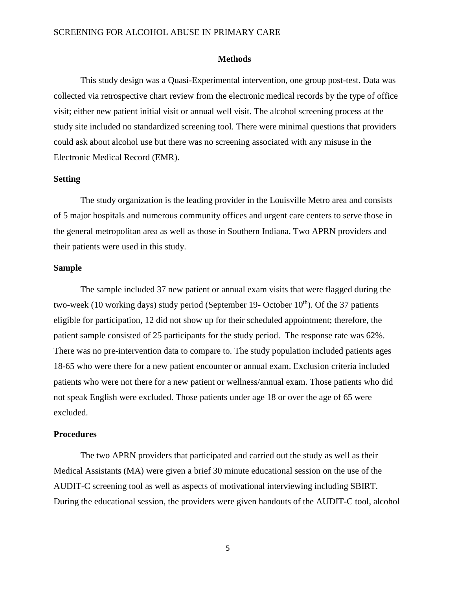#### **Methods**

This study design was a Quasi-Experimental intervention, one group post-test. Data was collected via retrospective chart review from the electronic medical records by the type of office visit; either new patient initial visit or annual well visit. The alcohol screening process at the study site included no standardized screening tool. There were minimal questions that providers could ask about alcohol use but there was no screening associated with any misuse in the Electronic Medical Record (EMR).

#### **Setting**

The study organization is the leading provider in the Louisville Metro area and consists of 5 major hospitals and numerous community offices and urgent care centers to serve those in the general metropolitan area as well as those in Southern Indiana. Two APRN providers and their patients were used in this study.

### **Sample**

The sample included 37 new patient or annual exam visits that were flagged during the two-week (10 working days) study period (September 19- October  $10<sup>th</sup>$ ). Of the 37 patients eligible for participation, 12 did not show up for their scheduled appointment; therefore, the patient sample consisted of 25 participants for the study period. The response rate was 62%. There was no pre-intervention data to compare to. The study population included patients ages 18-65 who were there for a new patient encounter or annual exam. Exclusion criteria included patients who were not there for a new patient or wellness/annual exam. Those patients who did not speak English were excluded. Those patients under age 18 or over the age of 65 were excluded.

#### **Procedures**

The two APRN providers that participated and carried out the study as well as their Medical Assistants (MA) were given a brief 30 minute educational session on the use of the AUDIT-C screening tool as well as aspects of motivational interviewing including SBIRT. During the educational session, the providers were given handouts of the AUDIT-C tool, alcohol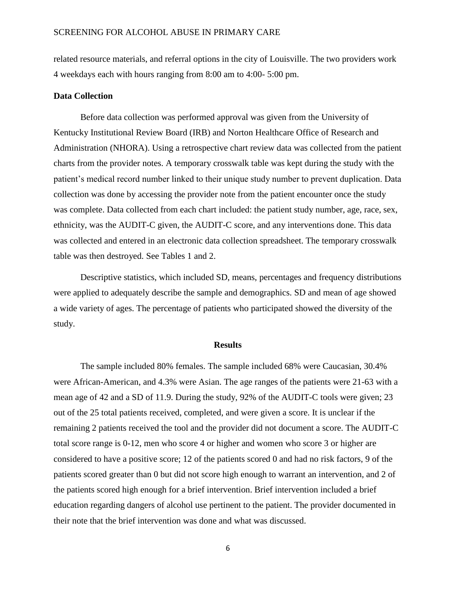related resource materials, and referral options in the city of Louisville. The two providers work 4 weekdays each with hours ranging from 8:00 am to 4:00- 5:00 pm.

#### **Data Collection**

Before data collection was performed approval was given from the University of Kentucky Institutional Review Board (IRB) and Norton Healthcare Office of Research and Administration (NHORA). Using a retrospective chart review data was collected from the patient charts from the provider notes. A temporary crosswalk table was kept during the study with the patient's medical record number linked to their unique study number to prevent duplication. Data collection was done by accessing the provider note from the patient encounter once the study was complete. Data collected from each chart included: the patient study number, age, race, sex, ethnicity, was the AUDIT-C given, the AUDIT-C score, and any interventions done. This data was collected and entered in an electronic data collection spreadsheet. The temporary crosswalk table was then destroyed. See Tables 1 and 2.

Descriptive statistics, which included SD, means, percentages and frequency distributions were applied to adequately describe the sample and demographics. SD and mean of age showed a wide variety of ages. The percentage of patients who participated showed the diversity of the study.

#### **Results**

The sample included 80% females. The sample included 68% were Caucasian, 30.4% were African-American, and 4.3% were Asian. The age ranges of the patients were 21-63 with a mean age of 42 and a SD of 11.9. During the study, 92% of the AUDIT-C tools were given; 23 out of the 25 total patients received, completed, and were given a score. It is unclear if the remaining 2 patients received the tool and the provider did not document a score. The AUDIT-C total score range is 0-12, men who score 4 or higher and women who score 3 or higher are considered to have a positive score; 12 of the patients scored 0 and had no risk factors, 9 of the patients scored greater than 0 but did not score high enough to warrant an intervention, and 2 of the patients scored high enough for a brief intervention. Brief intervention included a brief education regarding dangers of alcohol use pertinent to the patient. The provider documented in their note that the brief intervention was done and what was discussed.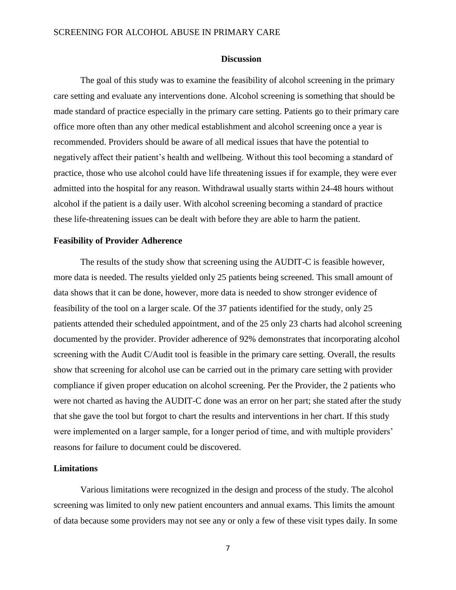#### **Discussion**

The goal of this study was to examine the feasibility of alcohol screening in the primary care setting and evaluate any interventions done. Alcohol screening is something that should be made standard of practice especially in the primary care setting. Patients go to their primary care office more often than any other medical establishment and alcohol screening once a year is recommended. Providers should be aware of all medical issues that have the potential to negatively affect their patient's health and wellbeing. Without this tool becoming a standard of practice, those who use alcohol could have life threatening issues if for example, they were ever admitted into the hospital for any reason. Withdrawal usually starts within 24-48 hours without alcohol if the patient is a daily user. With alcohol screening becoming a standard of practice these life-threatening issues can be dealt with before they are able to harm the patient.

#### **Feasibility of Provider Adherence**

The results of the study show that screening using the AUDIT-C is feasible however, more data is needed. The results yielded only 25 patients being screened. This small amount of data shows that it can be done, however, more data is needed to show stronger evidence of feasibility of the tool on a larger scale. Of the 37 patients identified for the study, only 25 patients attended their scheduled appointment, and of the 25 only 23 charts had alcohol screening documented by the provider. Provider adherence of 92% demonstrates that incorporating alcohol screening with the Audit C/Audit tool is feasible in the primary care setting. Overall, the results show that screening for alcohol use can be carried out in the primary care setting with provider compliance if given proper education on alcohol screening. Per the Provider, the 2 patients who were not charted as having the AUDIT-C done was an error on her part; she stated after the study that she gave the tool but forgot to chart the results and interventions in her chart. If this study were implemented on a larger sample, for a longer period of time, and with multiple providers' reasons for failure to document could be discovered.

### **Limitations**

Various limitations were recognized in the design and process of the study. The alcohol screening was limited to only new patient encounters and annual exams. This limits the amount of data because some providers may not see any or only a few of these visit types daily. In some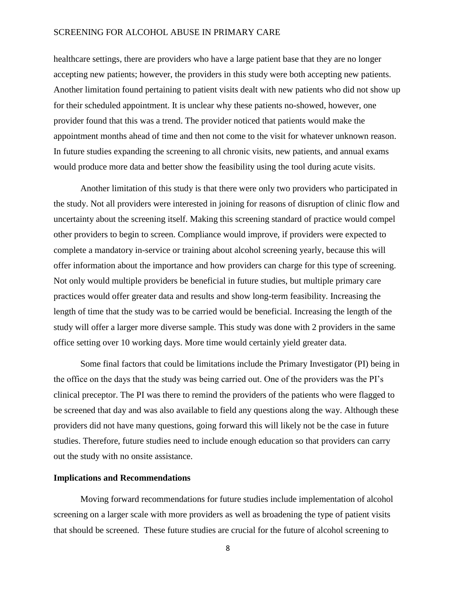healthcare settings, there are providers who have a large patient base that they are no longer accepting new patients; however, the providers in this study were both accepting new patients. Another limitation found pertaining to patient visits dealt with new patients who did not show up for their scheduled appointment. It is unclear why these patients no-showed, however, one provider found that this was a trend. The provider noticed that patients would make the appointment months ahead of time and then not come to the visit for whatever unknown reason. In future studies expanding the screening to all chronic visits, new patients, and annual exams would produce more data and better show the feasibility using the tool during acute visits.

Another limitation of this study is that there were only two providers who participated in the study. Not all providers were interested in joining for reasons of disruption of clinic flow and uncertainty about the screening itself. Making this screening standard of practice would compel other providers to begin to screen. Compliance would improve, if providers were expected to complete a mandatory in-service or training about alcohol screening yearly, because this will offer information about the importance and how providers can charge for this type of screening. Not only would multiple providers be beneficial in future studies, but multiple primary care practices would offer greater data and results and show long-term feasibility. Increasing the length of time that the study was to be carried would be beneficial. Increasing the length of the study will offer a larger more diverse sample. This study was done with 2 providers in the same office setting over 10 working days. More time would certainly yield greater data.

Some final factors that could be limitations include the Primary Investigator (PI) being in the office on the days that the study was being carried out. One of the providers was the PI's clinical preceptor. The PI was there to remind the providers of the patients who were flagged to be screened that day and was also available to field any questions along the way. Although these providers did not have many questions, going forward this will likely not be the case in future studies. Therefore, future studies need to include enough education so that providers can carry out the study with no onsite assistance.

# **Implications and Recommendations**

Moving forward recommendations for future studies include implementation of alcohol screening on a larger scale with more providers as well as broadening the type of patient visits that should be screened. These future studies are crucial for the future of alcohol screening to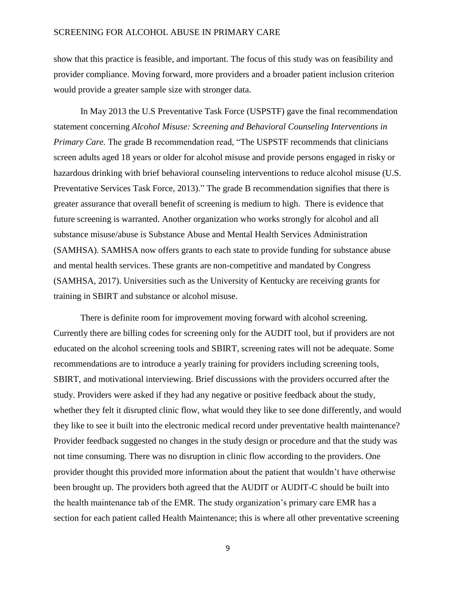show that this practice is feasible, and important. The focus of this study was on feasibility and provider compliance. Moving forward, more providers and a broader patient inclusion criterion would provide a greater sample size with stronger data.

In May 2013 the U.S Preventative Task Force (USPSTF) gave the final recommendation statement concerning *Alcohol Misuse: Screening and Behavioral Counseling Interventions in Primary Care.* The grade B recommendation read, "The USPSTF recommends that clinicians screen adults aged 18 years or older for alcohol misuse and provide persons engaged in risky or hazardous drinking with brief behavioral counseling interventions to reduce alcohol misuse (U.S. Preventative Services Task Force, 2013)." The grade B recommendation signifies that there is greater assurance that overall benefit of screening is medium to high. There is evidence that future screening is warranted. Another organization who works strongly for alcohol and all substance misuse/abuse is Substance Abuse and Mental Health Services Administration (SAMHSA). SAMHSA now offers grants to each state to provide funding for substance abuse and mental health services. These grants are non-competitive and mandated by Congress (SAMHSA, 2017). Universities such as the University of Kentucky are receiving grants for training in SBIRT and substance or alcohol misuse.

There is definite room for improvement moving forward with alcohol screening. Currently there are billing codes for screening only for the AUDIT tool, but if providers are not educated on the alcohol screening tools and SBIRT, screening rates will not be adequate. Some recommendations are to introduce a yearly training for providers including screening tools, SBIRT, and motivational interviewing. Brief discussions with the providers occurred after the study. Providers were asked if they had any negative or positive feedback about the study, whether they felt it disrupted clinic flow, what would they like to see done differently, and would they like to see it built into the electronic medical record under preventative health maintenance? Provider feedback suggested no changes in the study design or procedure and that the study was not time consuming. There was no disruption in clinic flow according to the providers. One provider thought this provided more information about the patient that wouldn't have otherwise been brought up. The providers both agreed that the AUDIT or AUDIT-C should be built into the health maintenance tab of the EMR. The study organization's primary care EMR has a section for each patient called Health Maintenance; this is where all other preventative screening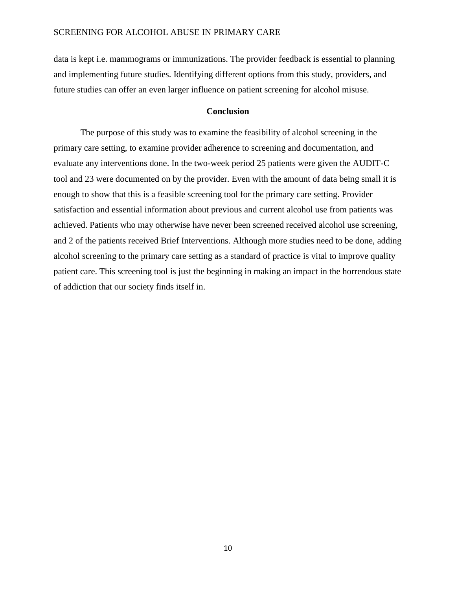data is kept i.e. mammograms or immunizations. The provider feedback is essential to planning and implementing future studies. Identifying different options from this study, providers, and future studies can offer an even larger influence on patient screening for alcohol misuse.

# **Conclusion**

The purpose of this study was to examine the feasibility of alcohol screening in the primary care setting, to examine provider adherence to screening and documentation, and evaluate any interventions done. In the two-week period 25 patients were given the AUDIT-C tool and 23 were documented on by the provider. Even with the amount of data being small it is enough to show that this is a feasible screening tool for the primary care setting. Provider satisfaction and essential information about previous and current alcohol use from patients was achieved. Patients who may otherwise have never been screened received alcohol use screening, and 2 of the patients received Brief Interventions. Although more studies need to be done, adding alcohol screening to the primary care setting as a standard of practice is vital to improve quality patient care. This screening tool is just the beginning in making an impact in the horrendous state of addiction that our society finds itself in.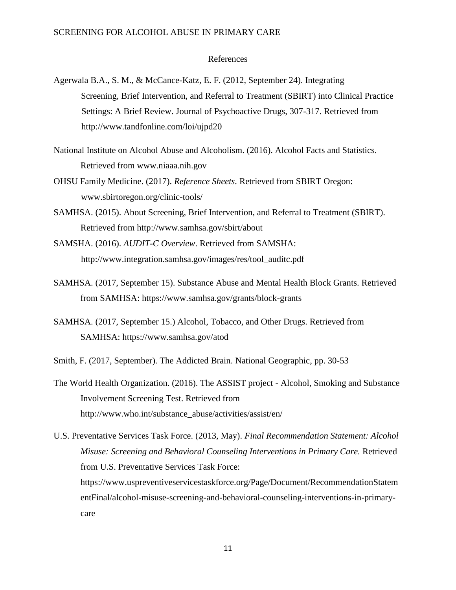### References

- Agerwala B.A., S. M., & McCance-Katz, E. F. (2012, September 24). Integrating Screening, Brief Intervention, and Referral to Treatment (SBIRT) into Clinical Practice Settings: A Brief Review. Journal of Psychoactive Drugs, 307-317. Retrieved from http://www.tandfonline.com/loi/ujpd20
- National Institute on Alcohol Abuse and Alcoholism. (2016). Alcohol Facts and Statistics. Retrieved from www.niaaa.nih.gov
- OHSU Family Medicine. (2017). *Reference Sheets.* Retrieved from SBIRT Oregon: www.sbirtoregon.org/clinic-tools/
- SAMHSA. (2015). About Screening, Brief Intervention, and Referral to Treatment (SBIRT). Retrieved from http://www.samhsa.gov/sbirt/about
- SAMSHA. (2016). *AUDIT-C Overview*. Retrieved from SAMSHA: http://www.integration.samhsa.gov/images/res/tool\_auditc.pdf
- SAMHSA. (2017, September 15). Substance Abuse and Mental Health Block Grants. Retrieved from SAMHSA: https://www.samhsa.gov/grants/block-grants
- SAMHSA. (2017, September 15.) Alcohol, Tobacco, and Other Drugs. Retrieved from SAMHSA: https://www.samhsa.gov/atod
- Smith, F. (2017, September). The Addicted Brain. National Geographic, pp. 30-53
- The World Health Organization. (2016). The ASSIST project Alcohol, Smoking and Substance Involvement Screening Test. Retrieved from http://www.who.int/substance\_abuse/activities/assist/en/

U.S. Preventative Services Task Force. (2013, May). *Final Recommendation Statement: Alcohol Misuse: Screening and Behavioral Counseling Interventions in Primary Care.* Retrieved from U.S. Preventative Services Task Force: https://www.uspreventiveservicestaskforce.org/Page/Document/RecommendationStatem entFinal/alcohol-misuse-screening-and-behavioral-counseling-interventions-in-primarycare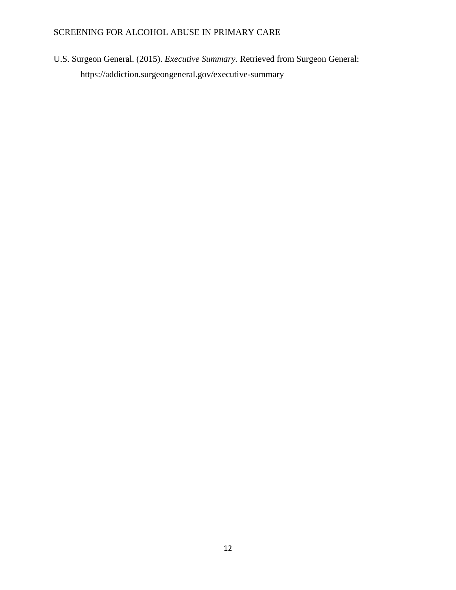U.S. Surgeon General. (2015). *Executive Summary.* Retrieved from Surgeon General: https://addiction.surgeongeneral.gov/executive-summary